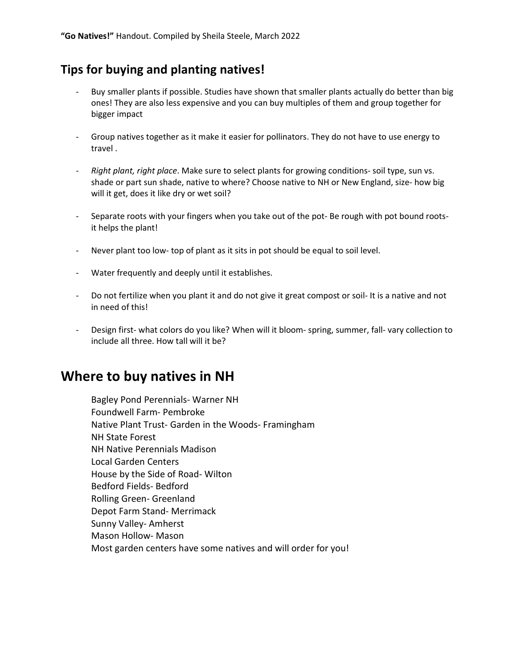### Tips for buying and planting natives!

- Buy smaller plants if possible. Studies have shown that smaller plants actually do better than big ones! They are also less expensive and you can buy multiples of them and group together for bigger impact
- Group natives together as it make it easier for pollinators. They do not have to use energy to travel .
- Right plant, right place. Make sure to select plants for growing conditions- soil type, sun vs. shade or part sun shade, native to where? Choose native to NH or New England, size- how big will it get, does it like dry or wet soil?
- Separate roots with your fingers when you take out of the pot- Be rough with pot bound rootsit helps the plant!
- Never plant too low- top of plant as it sits in pot should be equal to soil level.
- Water frequently and deeply until it establishes.
- Do not fertilize when you plant it and do not give it great compost or soil- It is a native and not in need of this!
- Design first- what colors do you like? When will it bloom- spring, summer, fall- vary collection to include all three. How tall will it be?

## Where to buy natives in NH

Bagley Pond Perennials- Warner NH Foundwell Farm- Pembroke Native Plant Trust- Garden in the Woods- Framingham NH State Forest NH Native Perennials Madison Local Garden Centers House by the Side of Road- Wilton Bedford Fields- Bedford Rolling Green- Greenland Depot Farm Stand- Merrimack Sunny Valley- Amherst Mason Hollow- Mason Most garden centers have some natives and will order for you!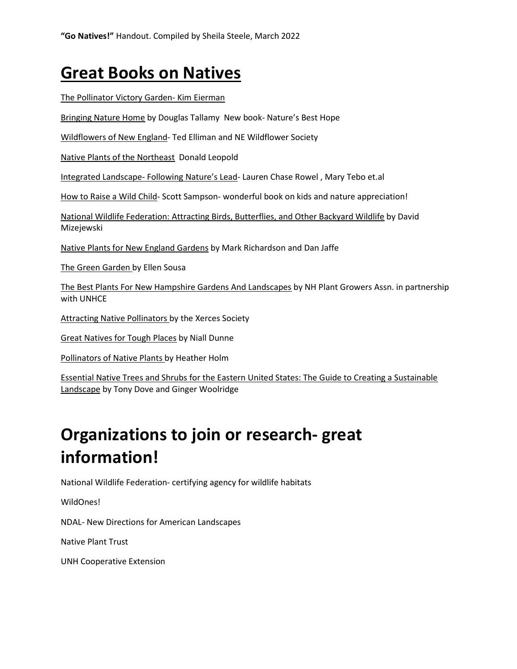## Great Books on Natives

#### The Pollinator Victory Garden- Kim Eierman

Bringing Nature Home by Douglas Tallamy New book- Nature's Best Hope

Wildflowers of New England- Ted Elliman and NE Wildflower Society

Native Plants of the Northeast Donald Leopold

Integrated Landscape- Following Nature's Lead- Lauren Chase Rowel , Mary Tebo et.al

How to Raise a Wild Child- Scott Sampson- wonderful book on kids and nature appreciation!

National Wildlife Federation: Attracting Birds, Butterflies, and Other Backyard Wildlife by David Mizejewski

Native Plants for New England Gardens by Mark Richardson and Dan Jaffe

The Green Garden by Ellen Sousa

The Best Plants For New Hampshire Gardens And Landscapes by NH Plant Growers Assn. in partnership with UNHCE

Attracting Native Pollinators by the Xerces Society

Great Natives for Tough Places by Niall Dunne

Pollinators of Native Plants by Heather Holm

Essential Native Trees and Shrubs for the Eastern United States: The Guide to Creating a Sustainable Landscape by Tony Dove and Ginger Woolridge

# Organizations to join or research- great information!

National Wildlife Federation- certifying agency for wildlife habitats

WildOnes!

NDAL- New Directions for American Landscapes

Native Plant Trust

UNH Cooperative Extension